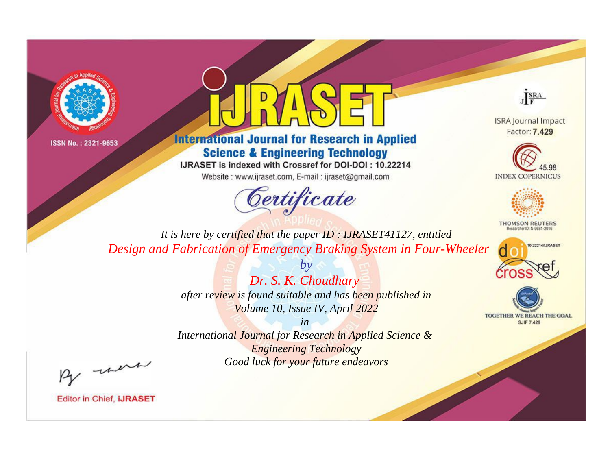



**International Journal for Research in Applied Science & Engineering Technology** 

IJRASET is indexed with Crossref for DOI-DOI: 10.22214

Website: www.ijraset.com, E-mail: ijraset@gmail.com





**ISRA Journal Impact** Factor: 7.429





**THOMSON REUTERS** 



TOGETHER WE REACH THE GOAL **SJIF 7.429** 

*It is here by certified that the paper ID : IJRASET41127, entitled Design and Fabrication of Emergency Braking System in Four-Wheeler*

> *Dr. S. K. Choudhary after review is found suitable and has been published in Volume 10, Issue IV, April 2022*

*by*

*in International Journal for Research in Applied Science &* 

*Engineering Technology Good luck for your future endeavors*

By morn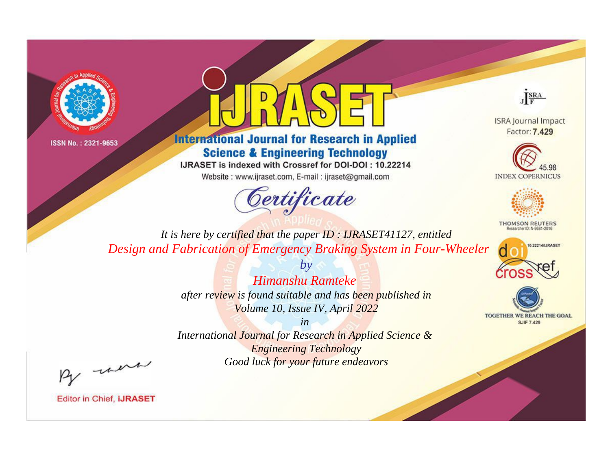



**International Journal for Research in Applied Science & Engineering Technology** 

IJRASET is indexed with Crossref for DOI-DOI: 10.22214

Website: www.ijraset.com, E-mail: ijraset@gmail.com



JERA

**ISRA Journal Impact** Factor: 7.429





**THOMSON REUTERS** 



TOGETHER WE REACH THE GOAL **SJIF 7.429** 

*It is here by certified that the paper ID : IJRASET41127, entitled Design and Fabrication of Emergency Braking System in Four-Wheeler*

> *Himanshu Ramteke after review is found suitable and has been published in Volume 10, Issue IV, April 2022*

*by*

*in International Journal for Research in Applied Science & Engineering Technology Good luck for your future endeavors*

By morn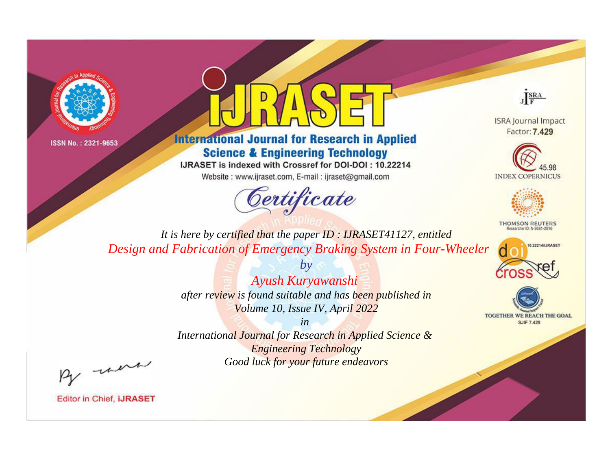



**International Journal for Research in Applied Science & Engineering Technology** 

IJRASET is indexed with Crossref for DOI-DOI: 10.22214

Website: www.ijraset.com, E-mail: ijraset@gmail.com



JERA

**ISRA Journal Impact** Factor: 7.429





**THOMSON REUTERS** 



TOGETHER WE REACH THE GOAL **SJIF 7.429** 

*It is here by certified that the paper ID : IJRASET41127, entitled Design and Fabrication of Emergency Braking System in Four-Wheeler*

> *Ayush Kuryawanshi after review is found suitable and has been published in Volume 10, Issue IV, April 2022*

*by*

*in* 

*International Journal for Research in Applied Science & Engineering Technology Good luck for your future endeavors*

By morn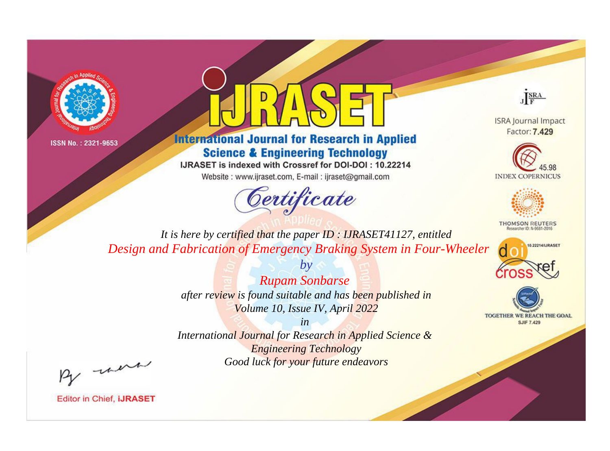



**International Journal for Research in Applied Science & Engineering Technology** 

IJRASET is indexed with Crossref for DOI-DOI: 10.22214

Website: www.ijraset.com, E-mail: ijraset@gmail.com



JERA

**ISRA Journal Impact** Factor: 7.429





**THOMSON REUTERS** 



TOGETHER WE REACH THE GOAL **SJIF 7.429** 

*It is here by certified that the paper ID : IJRASET41127, entitled Design and Fabrication of Emergency Braking System in Four-Wheeler*

> *Rupam Sonbarse after review is found suitable and has been published in Volume 10, Issue IV, April 2022*

*by*

*in* 

*International Journal for Research in Applied Science & Engineering Technology Good luck for your future endeavors*

By morn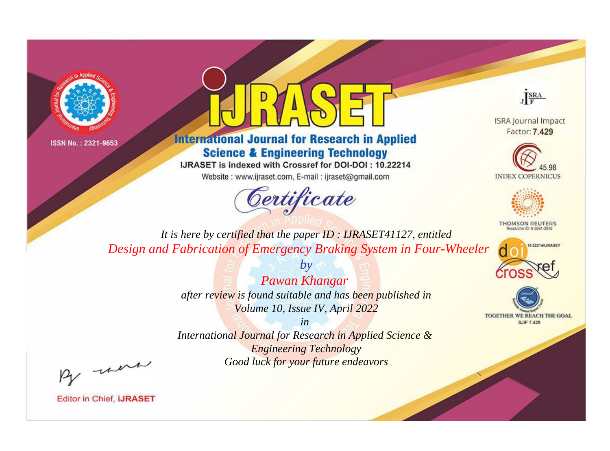



**International Journal for Research in Applied Science & Engineering Technology** 

IJRASET is indexed with Crossref for DOI-DOI: 10.22214

Website: www.ijraset.com, E-mail: ijraset@gmail.com



JERA

**ISRA Journal Impact** Factor: 7.429





**THOMSON REUTERS** 



TOGETHER WE REACH THE GOAL **SJIF 7.429** 

*It is here by certified that the paper ID : IJRASET41127, entitled Design and Fabrication of Emergency Braking System in Four-Wheeler*

> *Pawan Khangar after review is found suitable and has been published in Volume 10, Issue IV, April 2022*

*by*

*in* 

*International Journal for Research in Applied Science & Engineering Technology Good luck for your future endeavors*

By morn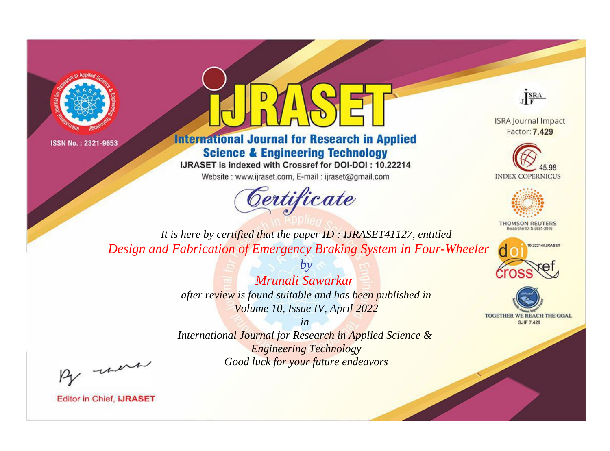



**International Journal for Research in Applied Science & Engineering Technology** 

IJRASET is indexed with Crossref for DOI-DOI: 10.22214

Website: www.ijraset.com, E-mail: ijraset@gmail.com



JERA

**ISRA Journal Impact** Factor: 7.429





**THOMSON REUTERS** 



TOGETHER WE REACH THE GOAL **SJIF 7.429** 

*It is here by certified that the paper ID : IJRASET41127, entitled Design and Fabrication of Emergency Braking System in Four-Wheeler*

> *Mrunali Sawarkar after review is found suitable and has been published in Volume 10, Issue IV, April 2022*

*by*

*in* 

*International Journal for Research in Applied Science & Engineering Technology Good luck for your future endeavors*

By morn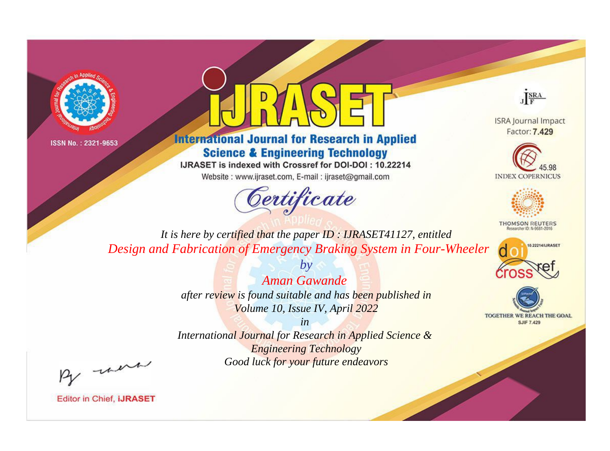



**International Journal for Research in Applied Science & Engineering Technology** 

IJRASET is indexed with Crossref for DOI-DOI: 10.22214

Website: www.ijraset.com, E-mail: ijraset@gmail.com



JERA

**ISRA Journal Impact** Factor: 7.429





**THOMSON REUTERS** 



TOGETHER WE REACH THE GOAL **SJIF 7.429** 

*It is here by certified that the paper ID : IJRASET41127, entitled Design and Fabrication of Emergency Braking System in Four-Wheeler*

> *Aman Gawande after review is found suitable and has been published in Volume 10, Issue IV, April 2022*

*by*

*in* 

*International Journal for Research in Applied Science & Engineering Technology Good luck for your future endeavors*

By morn